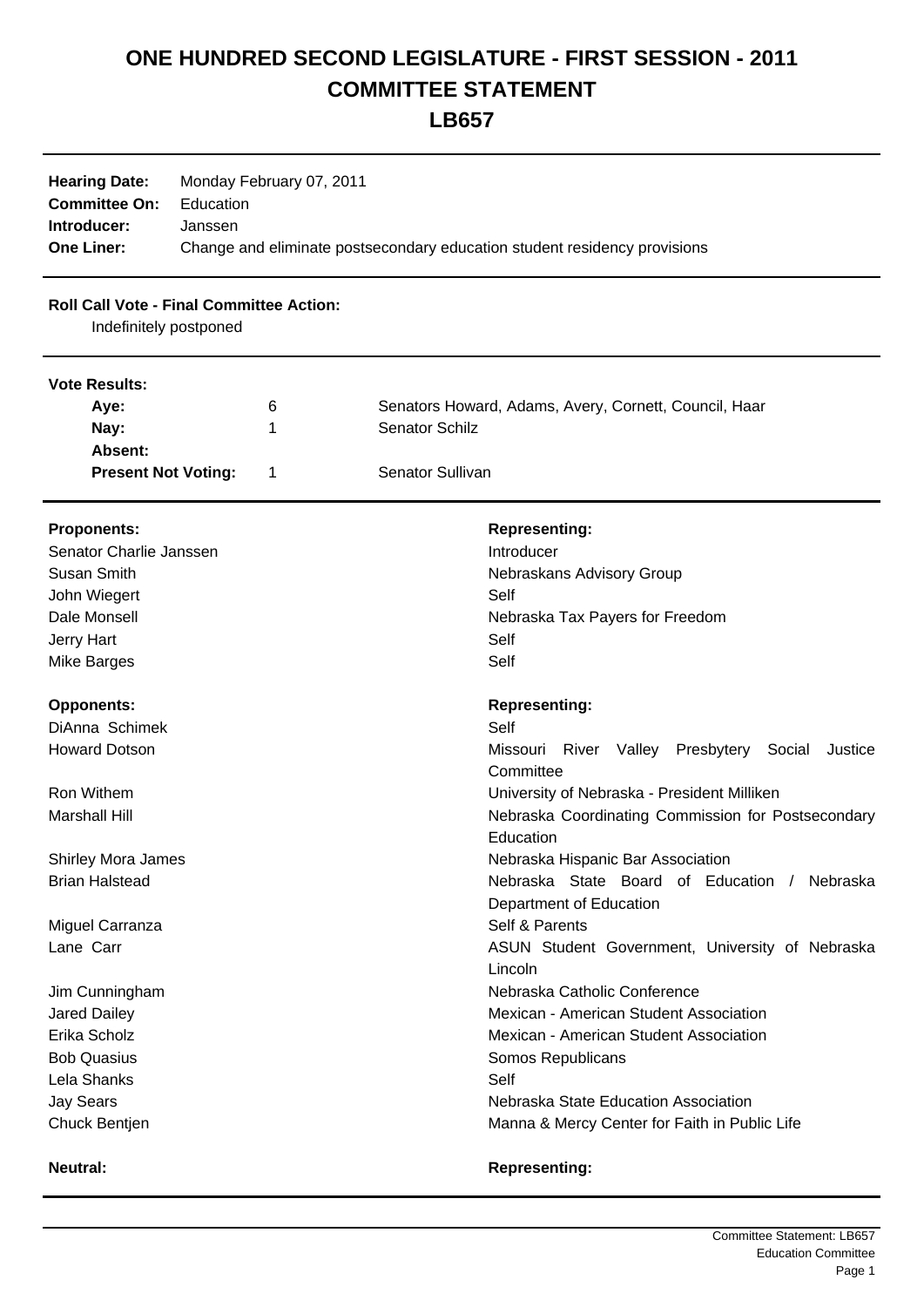## **ONE HUNDRED SECOND LEGISLATURE - FIRST SESSION - 2011 COMMITTEE STATEMENT**

**LB657**

| <b>Hearing Date:</b><br><b>Committee On:</b><br>Introducer:<br><b>One Liner:</b> | Monday February 07, 2011<br>Education<br>Janssen | Change and eliminate postsecondary education student residency provisions |
|----------------------------------------------------------------------------------|--------------------------------------------------|---------------------------------------------------------------------------|
| <b>Roll Call Vote - Final Committee Action:</b><br>Indefinitely postponed        |                                                  |                                                                           |
| <b>Vote Results:</b>                                                             |                                                  |                                                                           |
| Aye:                                                                             | 6                                                | Senators Howard, Adams, Avery, Cornett, Council, Haar                     |
| Nay:                                                                             | 1                                                | <b>Senator Schilz</b>                                                     |
| Absent:                                                                          |                                                  |                                                                           |
| <b>Present Not Voting:</b><br>1                                                  |                                                  | Senator Sullivan                                                          |
| <b>Proponents:</b>                                                               |                                                  | <b>Representing:</b>                                                      |
| Senator Charlie Janssen                                                          |                                                  | Introducer                                                                |
| Susan Smith                                                                      |                                                  | Nebraskans Advisory Group                                                 |
| John Wiegert                                                                     |                                                  | Self                                                                      |
| Dale Monsell                                                                     |                                                  | Nebraska Tax Payers for Freedom                                           |
| Jerry Hart                                                                       |                                                  | Self                                                                      |
| <b>Mike Barges</b>                                                               |                                                  | Self                                                                      |
|                                                                                  |                                                  |                                                                           |
| <b>Opponents:</b>                                                                |                                                  | <b>Representing:</b>                                                      |
| DiAnna Schimek                                                                   |                                                  | Self                                                                      |
| <b>Howard Dotson</b>                                                             |                                                  | Missouri River Valley<br>Presbytery Social<br>Justice                     |
|                                                                                  |                                                  | Committee                                                                 |
| Ron Withem                                                                       |                                                  | University of Nebraska - President Milliken                               |
| <b>Marshall Hill</b>                                                             |                                                  | Nebraska Coordinating Commission for Postsecondary                        |
|                                                                                  |                                                  | Education                                                                 |
| <b>Shirley Mora James</b>                                                        |                                                  | Nebraska Hispanic Bar Association                                         |
| <b>Brian Halstead</b>                                                            |                                                  | Nebraska State Board of Education / Nebraska                              |
|                                                                                  |                                                  |                                                                           |
|                                                                                  |                                                  | Department of Education<br>Self & Parents                                 |
| Miguel Carranza                                                                  |                                                  |                                                                           |
| Lane Carr                                                                        |                                                  | ASUN Student Government, University of Nebraska                           |
|                                                                                  |                                                  | Lincoln                                                                   |
| Jim Cunningham                                                                   |                                                  | Nebraska Catholic Conference                                              |
| <b>Jared Dailey</b>                                                              |                                                  | Mexican - American Student Association                                    |
| Erika Scholz                                                                     |                                                  | Mexican - American Student Association                                    |
| <b>Bob Quasius</b>                                                               |                                                  | Somos Republicans                                                         |
| Lela Shanks                                                                      |                                                  | Self                                                                      |
| <b>Jay Sears</b>                                                                 |                                                  | Nebraska State Education Association                                      |
| Chuck Bentjen                                                                    |                                                  | Manna & Mercy Center for Faith in Public Life                             |
|                                                                                  |                                                  |                                                                           |

## **Neutral: Representing:**